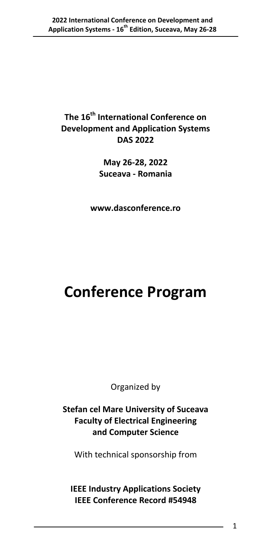### **The 16th International Conference on Development and Application Systems DAS 2022**

**May 26‐28, 2022 Suceava ‐ Romania**

**www.dasconference.ro**

# **Conference Program**

Organized by

**Stefan cel Mare University of Suceava Faculty of Electrical Engineering and Computer Science**

With technical sponsorship from

**IEEE Industry Applications Society IEEE Conference Record #54948**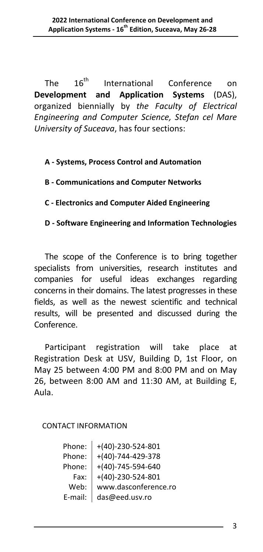The  $16<sup>th</sup>$  International Conference on **Development and Application Systems** (DAS), organized biennially by *the Faculty of Electrical Engineering and Computer Science, Stefan cel Mare University of Suceava*, has four sections:

#### **A ‐ Systems, Process Control and Automation**

#### **B ‐ Communications and Computer Networks**

#### **C ‐ Electronics and Computer Aided Engineering**

#### **D ‐ Software Engineering and Information Technologies**

The scope of the Conference is to bring together specialists from universities, research institutes and companies for useful ideas exchanges regarding concerns in their domains. The latest progresses in these fields, as well as the newest scientific and technical results, will be presented and discussed during the Conference.

Participant registration will take place at Registration Desk at USV, Building D, 1st Floor, on May 25 between 4:00 PM and 8:00 PM and on May 26, between 8:00 AM and 11:30 AM, at Building E, Aula.

#### CONTACT INFORMATION

| Phone:  | $+(40) - 230 - 524 - 801$ |
|---------|---------------------------|
| Phone:  | $+(40) - 744 - 429 - 378$ |
| Phone:  | $+(40) - 745 - 594 - 640$ |
| Fax:    | $+(40) - 230 - 524 - 801$ |
| Web:    | www.dasconference.ro      |
| E-mail: | das@eed.usv.ro            |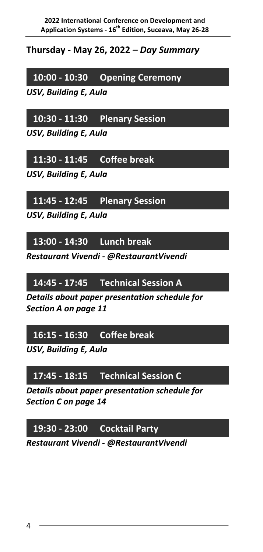**Thursday ‐ May 26, 2022** *– Day Summary*

**10:00 ‐ 10:30 Opening Ceremony**

*USV, Building E, Aula*

**10:30 ‐ 11:30 Plenary Session**

*USV, Building E, Aula*

**11:30 ‐ 11:45 Coffee break**

*USV, Building E, Aula*

**11:45 ‐ 12:45 Plenary Session**

*USV, Building E, Aula*

**13:00 ‐ 14:30 Lunch break**

*Restaurant Vivendi ‐ @RestaurantVivendi*

**14:45 ‐ 17:45 Technical Session A**

*Details about paper presentation schedule for Section A on page 11*

### **16:15 ‐ 16:30 Coffee break**

*USV, Building E, Aula*

### **17:45 ‐ 18:15 Technical Session C**

*Details about paper presentation schedule for Section C on page 14*

## **19:30 ‐ 23:00 Cocktail Party**

*Restaurant Vivendi ‐ @RestaurantVivendi*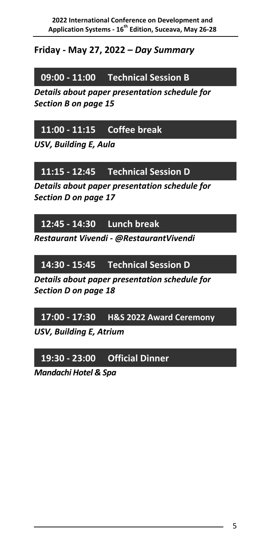### **Friday ‐ May 27, 2022** *– Day Summary*

### **09:00 ‐ 11:00 Technical Session B**

*Details about paper presentation schedule for Section B on page 15*

### **11:00 ‐ 11:15 Coffee break**

*USV, Building E, Aula*

### **11:15 ‐ 12:45 Technical Session D**

*Details about paper presentation schedule for Section D on page 17*

### **12:45 ‐ 14:30 Lunch break**

*Restaurant Vivendi ‐ @RestaurantVivendi*

### **14:30 ‐ 15:45 Technical Session D**

*Details about paper presentation schedule for Section D on page 18*

### **17:00 ‐ 17:30 H&S 2022 Award Ceremony**

*USV, Building E, Atrium*

## **19:30 ‐ 23:00 Official Dinner**

*Mandachi Hotel & Spa*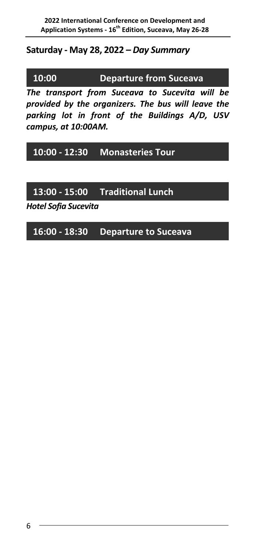#### **Saturday ‐ May 28, 2022** *– Day Summary*

**10:00 ‐ 10:00 Departure from Suceava**

*The transport from Suceava to Sucevita will be provided by the organizers. The bus will leave the parking lot in front of the Buildings A/D, USV campus, at 10:00AM.*

### **10:00 ‐ 12:30 Monasteries Tour**

### **13:00 ‐ 15:00 Traditional Lunch**

*Hotel Sofia Sucevita*

### **16:00 ‐ 18:30 Departure to Suceava**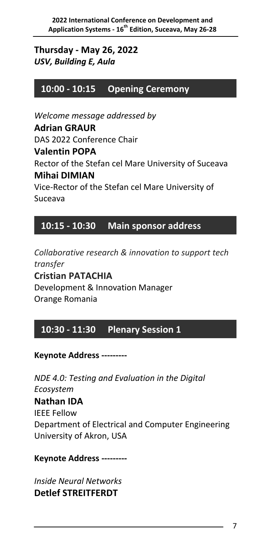### **Thursday ‐ May 26, 2022** *USV, Building E, Aula*

### **10:00 ‐ 10:15 Opening Ceremony**

*Welcome message addressed by* **Adrian GRAUR** DAS 2022 Conference Chair

#### **Valentin POPA**

Rector of the Stefan cel Mare University of Suceava **Mihai DIMIAN**

Vice‐Rector of the Stefan cel Mare University of Suceava

### **10:15 ‐ 10:30 Main sponsor address**

*Collaborative research & innovation to support tech transfer* **Cristian PATACHIA** Development & Innovation Manager Orange Romania

### **10:30 ‐ 11:30 Plenary Session 1**

#### **Keynote Address ‐‐‐‐‐‐‐‐‐**

*NDE 4.0: Testing and Evaluation in the Digital Ecosystem* **Nathan IDA** IEEE Fellow Department of Electrical and Computer Engineering University of Akron, USA

#### **Keynote Address ‐‐‐‐‐‐‐‐‐**

*Inside Neural Networks* **Detlef STREITFERDT**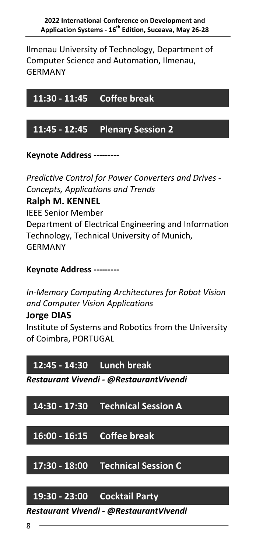Ilmenau University of Technology, Department of Computer Science and Automation, Ilmenau, GERMANY

**11:30 ‐ 11:45 Coffee break**

### **11:45 ‐ 12:45 Plenary Session 2**

**Keynote Address ‐‐‐‐‐‐‐‐‐** 

*Predictive Control for Power Converters and Drives ‐ Concepts, Applications and Trends*

### **Ralph M. KENNEL**

IEEE Senior Member Department of Electrical Engineering and Information Technology, Technical University of Munich, GERMANY

#### **Keynote Address ‐‐‐‐‐‐‐‐‐**

*In‐Memory Computing Architectures for Robot Vision and Computer Vision Applications*

#### **Jorge DIAS**

Institute of Systems and Robotics from the University of Coimbra, PORTUGAL

### **12:45 ‐ 14:30 Lunch break**

*Restaurant Vivendi ‐ @RestaurantVivendi*

### **14:30 ‐ 17:30 Technical Session A**

**16:00 ‐ 16:15 Coffee break**

**17:30 ‐ 18:00 Technical Session C**

### **19:30 ‐ 23:00 Cocktail Party**

*Restaurant Vivendi ‐ @RestaurantVivendi*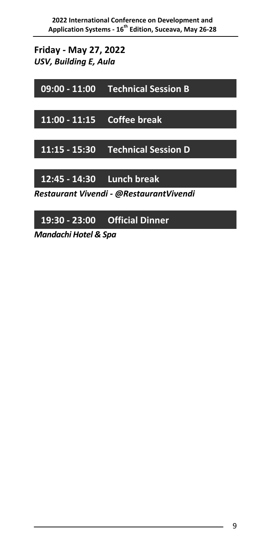**Friday ‐ May 27, 2022** *USV, Building E, Aula*

**09:00 ‐ 11:00 Technical Session B**

**11:00 ‐ 11:15 Coffee break**

**11:15 ‐ 15:30 Technical Session D**

**12:45 ‐ 14:30 Lunch break**

*Restaurant Vivendi ‐ @RestaurantVivendi*

## **19:30 ‐ 23:00 Official Dinner**

*Mandachi Hotel & Spa*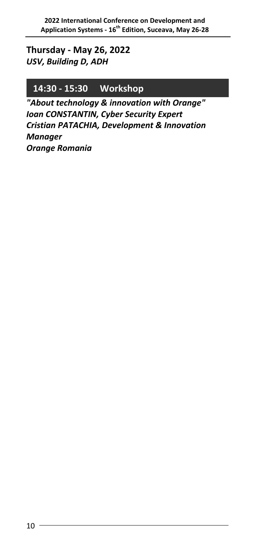#### **Thursday ‐ May 26, 2022** *USV, Building D, ADH*

### **14:30 ‐ 15:30 Workshop**

*"About technology & innovation with Orange" Ioan CONSTANTIN, Cyber Security Expert Cristian PATACHIA, Development & Innovation Manager Orange Romania*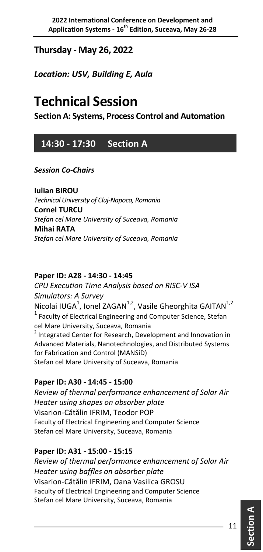### **Thursday ‐ May 26, 2022**

*Location: USV, Building E, Aula*

# **Technical Session**

**Section A: Systems, Process Control and Automation**

### **14:30 ‐ 17:30 Section A**

#### *Session Co‐Chairs*

**Iulian BIROU**  *Technical University of Cluj‐Napoca, Romania* **Cornel TURCU** *Stefan cel Mare University of Suceava, Romania* **Mihai RATA** *Stefan cel Mare University of Suceava, Romania*

#### **Paper ID: A28 ‐ 14:30 ‐ 14:45**

*CPU Execution Time Analysis based on RISC‐V ISA Simulators: A Survey* Nicolai IUGA<sup>1</sup>, Ionel ZAGAN<sup>1,2</sup>, Vasile Gheorghita GAITAN<sup>1,2</sup> <sup>1</sup> Faculty of Electrical Engineering and Computer Science, Stefan cel Mare University, Suceava, Romania<br><sup>2</sup> Integrated Center for Research, Development and Innovation in Advanced Materials, Nanotechnologies, and Distributed Systems for Fabrication and Control (MANSiD) Stefan cel Mare University of Suceava, Romania

#### **Paper ID: A30 ‐ 14:45 ‐ 15:00**

*Review of thermal performance enhancement of Solar Air Heater using shapes on absorber plate* Visarion‐Cătălin IFRIM, Teodor POP Faculty of Electrical Engineering and Computer Science Stefan cel Mare University, Suceava, Romania

#### **Paper ID: A31 ‐ 15:00 ‐ 15:15**

*Review of thermal performance enhancement of Solar Air Heater using baffles on absorber plate* Visarion‐Cătălin IFRIM, Oana Vasilica GROSU Faculty of Electrical Engineering and Computer Science Stefan cel Mare University, Suceava, Romania

**A**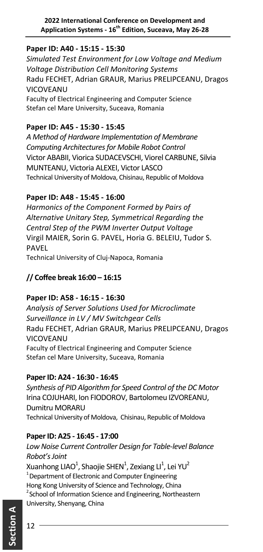#### **Paper ID: A40 ‐ 15:15 ‐ 15:30**

*Simulated Test Environment for Low Voltage and Medium Voltage Distribution Cell Monitoring Systems* Radu FECHET, Adrian GRAUR, Marius PRELIPCEANU, Dragos VICOVEANU Faculty of Electrical Engineering and Computer Science Stefan cel Mare University, Suceava, Romania

#### **Paper ID: A45 ‐ 15:30 ‐ 15:45**

*A Method of Hardware Implementation of Membrane Computing Architecturesfor Mobile Robot Control* Victor ABABII, Viorica SUDACEVSCHI, Viorel CARBUNE, Silvia MUNTEANU, Victoria ALEXEI, Victor LASCO Technical University of Moldova, Chisinau, Republic of Moldova

#### **Paper ID: A48 ‐ 15:45 ‐ 16:00**

*Harmonics of the Component Formed by Pairs of Alternative Unitary Step, Symmetrical Regarding the Central Step of the PWM Inverter Output Voltage* Virgil MAIER, Sorin G. PAVEL, Horia G. BELEIU, Tudor S. PAVEL Technical University of Cluj‐Napoca, Romania

### **// Coffee break 16:00 – 16:15**

#### **Paper ID: A58 ‐ 16:15 ‐ 16:30**

*Analysis of Server Solutions Used for Microclimate Surveillance in LV / MV Switchgear Cells* Radu FECHET, Adrian GRAUR, Marius PRELIPCEANU, Dragos **VICOVEANU** Faculty of Electrical Engineering and Computer Science Stefan cel Mare University, Suceava, Romania

#### **PaperID: A24 ‐ 16:30 ‐ 16:45**

*Synthesis of PID Algorithm for Speed Control of the DC Motor* Irina COJUHARI, Ion FIODOROV, Bartolomeu IZVOREANU, Dumitru MORARU Technical University of Moldova, Chisinau, Republic of Moldova

#### **PaperID: A25 ‐ 16:45 ‐ 17:00**

*Low Noise Current Controller Design for Table‐level Balance Robot'sJoint* Xuanhong LIAO $^1$ , Shaojie SHEN $^1$ , Zexiang LI $^1$ , Lei YU $^2$ <sup>1</sup> Department of Electronic and Computer Engineering Hong Kong University of Science and Technology, China <sup>2</sup> School of Information Science and Engineering, Northeastern University, Shenyang, China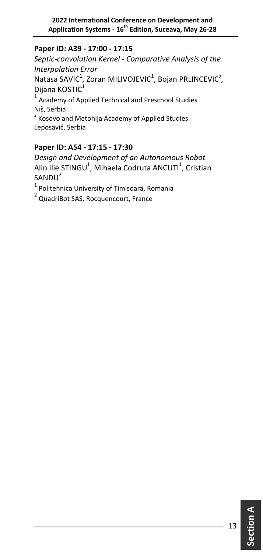#### **Paper ID: A39 ‐ 17:00 ‐ 17:15**

*Septic‐convolution Kernel ‐ Comparative Analysis of the Interpolation Error* Natasa SAVIC $^1$ , Zoran MILIVOJEVIC $^1$ , Bojan PRLINCEVIC $^2$ , Dijana KOSTIC<sup>1</sup> <sup>1</sup> Academy of Applied Technical and Preschool Studies Niš, Serbia <sup>2</sup> Kosovo and Metohija Academy of Applied Studies Leposavić, Serbia

#### **Paper ID: A54 ‐ 17:15 ‐ 17:30**

*Design and Development of an Autonomous Robot* Alin Ilie STINGU<sup>1</sup>, Mihaela Codruta ANCUTI<sup>1</sup>, Cristian  $SANDU<sup>2</sup>$ 

 $\frac{1}{1}$  Politehnica University of Timisoara, Romania<br> $\frac{2}{1}$  QuadriBot SAS, Rocquencourt, France

**Section**

**A**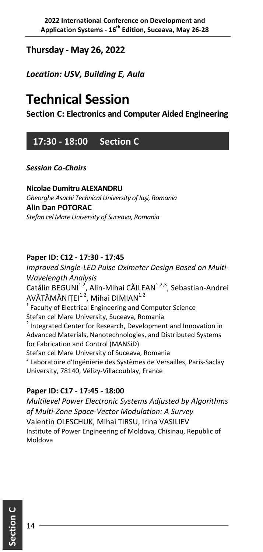### **Thursday ‐ May 26, 2022**

*Location: USV, Building E, Aula*

# **Technical Session**

**Section C: Electronics and Computer Aided Engineering**

### **17:30 ‐ 18:00 Section C**

*Session Co‐Chairs*

**Nicolae Dumitru ALEXANDRU** *Gheorghe Asachi Technical University of Iaşi, Romania* **Alin Dan POTORAC** *Stefan cel Mare University of Suceava, Romania*

#### **Paper ID: C12 ‐ 17:30 ‐ 17:45**

*Improved Single‐LED Pulse Oximeter Design Based on Multi‐ Wavelength Analysis* Catălin BEGUNI<sup>1,2</sup>, Alin-Mihai CĂILEAN<sup>1,2,3</sup>, Sebastian-Andrei AVĂTĂMĂNIȚEI<sup>1,2</sup>, Mihai DIMIAN<sup>1,2</sup>  $1$  Faculty of Electrical Engineering and Computer Science Stefan cel Mare University, Suceava, Romania <sup>2</sup> Integrated Center for Research, Development and Innovation in Advanced Materials, Nanotechnologies, and Distributed Systems for Fabrication and Control (MANSiD) Stefan cel Mare University of Suceava, Romania <sup>3</sup> Laboratoire d'Ingénierie des Systèmes de Versailles, Paris‐Saclay University, 78140, Vélizy‐Villacoublay, France

#### **Paper ID: C17 ‐ 17:45 ‐ 18:00**

*Multilevel Power Electronic Systems Adjusted by Algorithms of Multi‐Zone Space‐Vector Modulation: A Survey* Valentin OLESCHUK, Mihai TIRSU, Irina VASILIEV Institute of Power Engineering of Moldova, Chisinau, Republic of Moldova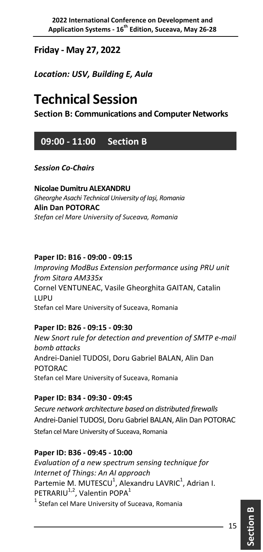**Friday ‐ May 27, 2022**

*Location: USV, Building E, Aula*

# **Technical Session**

**Section B: Communications and Computer Networks**

### **09:00 ‐ 11:00 Section B**

*Session Co‐Chairs*

**Nicolae Dumitru ALEXANDRU** *Gheorghe Asachi Technical University of Iaşi, Romania* **Alin Dan POTORAC** *Stefan cel Mare University of Suceava, Romania*

#### **Paper ID: B16 ‐ 09:00 ‐ 09:15**

*Improving ModBus Extension performance using PRU unit from Sitara AM335x* Cornel VENTUNEAC, Vasile Gheorghita GAITAN, Catalin LUPU Stefan cel Mare University of Suceava, Romania

#### **Paper ID: B26 ‐ 09:15 ‐ 09:30**

*New Snort rule for detection and prevention of SMTP e‐mail bomb attacks* Andrei‐Daniel TUDOSI, Doru Gabriel BALAN, Alin Dan POTORAC Stefan cel Mare University of Suceava, Romania

#### **Paper ID: B34 ‐ 09:30 ‐ 09:45**

*Secure network architecture based on distributed firewalls* Andrei‐Daniel TUDOSI, Doru Gabriel BALAN, Alin Dan POTORAC Stefan cel Mare University of Suceava, Romania

#### **Paper ID: B36 ‐ 09:45 ‐ 10:00**

*Evaluation of a new spectrum sensing technique for Internet of Things: An AI approach* Partemie M. MUTESCU<sup>1</sup>, Alexandru LAVRIC<sup>1</sup>, Adrian I. PETRARIU<sup>1,2</sup>, Valentin POPA<sup>1</sup>  $1$  Stefan cel Mare University of Suceava, Romania

**Section**

**B**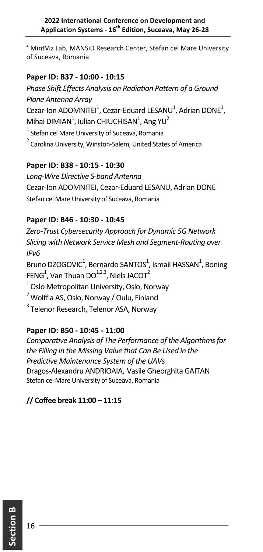<sup>2</sup> MintViz Lab, MANSiD Research Center, Stefan cel Mare University of Suceava, Romania

#### **Paper ID: B37 ‐ 10:00 ‐ 10:15**

*Phase Shift Effects Analysis on Radiation Pattern of a Ground Plane Antenna Array* Cezar-Ion ADOMNITEI<sup>1</sup>, Cezar-Eduard LESANU<sup>1</sup>, Adrian DONE<sup>1</sup>, Mihai DIMIAN<sup>1</sup>, Iulian CHIUCHISAN<sup>1</sup>, Ang YU<sup>2</sup> <sup>1</sup> Stefan cel Mare University of Suceava, Romania <sup>2</sup> Carolina University, Winston-Salem, United States of America

#### **Paper ID: B38 ‐ 10:15 ‐ 10:30**

*Long‐Wire Directive S‐band Antenna* Cezar‐Ion ADOMNITEI, Cezar‐Eduard LESANU, Adrian DONE Stefan cel Mare University of Suceava, Romania

#### **Paper ID: B46 ‐ 10:30 ‐ 10:45**

*Zero‐Trust Cybersecurity Approach for Dynamic 5G Network Slicing with Network Service Mesh and Segment‐Routing over IPv6* Bruno DZOGOVIC<sup>1</sup>, Bernardo SANTOS<sup>1</sup>, Ismail HASSAN<sup>1</sup>, Boning FENG<sup>1</sup>, Van Thuan DO<sup>1,2,3</sup>, Niels JACOT<sup>2</sup> 1 Oslo Metropolitan University, Oslo, Norway <sup>2</sup> Wolffia AS, Oslo, Norway / Oulu, Finland <sup>3</sup> Telenor Research, Telenor ASA, Norway

#### **Paper ID: B50 ‐ 10:45 ‐ 11:00**

*Comparative Analysis of The Performance of the Algorithmsfor the Filling in the Missing Value that Can Be Used in the Predictive Maintenance System of the UAVs* Dragos‐Alexandru ANDRIOAIA, Vasile Gheorghita GAITAN Stefan cel Mare University of Suceava, Romania

#### **// Coffee break 11:00 – 11:15**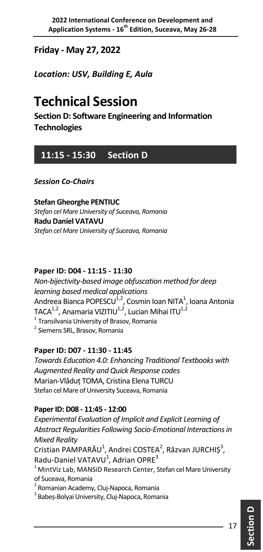## **Friday ‐ May 27, 2022**

*Location: USV, Building E, Aula*

# **Technical Session**

**Section D: Software Engineering and Information Technologies**

## **11:15 ‐ 15:30 Section D**

*Session Co‐Chairs*

**Stefan Gheorghe PENTIUC** *Stefan cel Mare University of Suceava, Romania* **Radu Daniel VATAVU** *Stefan cel Mare University of Suceava, Romania*

#### **Paper ID: D04 ‐ 11:15 ‐ 11:30**

*Non‐bijectivity‐based image obfuscation method for deep learning based medical applications* Andreea Bianca POPESCU $^{\rm 1,2}$ , Cosmin Ioan NITA $^{\rm 1}$ , Ioana Antonia TACA $^{1,2}$ , Anamaria VIZITIU $^{1,2}$ , Lucian Mihai ITU $^{1,2}$  $1$  Transilvania University of Brasov, Romania <sup>2</sup> Siemens SRL, Brasov, Romania

#### **Paper ID: D07 ‐ 11:30 ‐ 11:45**

*Towards Education 4.0: Enhancing Traditional Textbooks with Augmented Reality and Quick Response codes* Marian‐Vlăduț TOMA, Cristina Elena TURCU Stefan cel Mare of University Suceava, Romania

#### **PaperID: D08 ‐ 11:45 ‐ 12:00**

*Experimental Evaluation of Implicit and Explicit Learning of Abstract Regularities Following Socio‐Emotional Interactionsin Mixed Reality*  Cristian PAMPARĂU<sup>1</sup>, Andrei COSTEA<sup>2</sup>, Răzvan JURCHIȘ<sup>3</sup>, Radu-Daniel VATAVU<sup>1</sup>, Adrian OPRE<sup>3</sup>  $^1$  MintViz Lab, MANSiD Research Center, Stefan cel Mare University of Suceava, Romania 2 Romanian Academy, Cluj‐Napoca, Romania

<sup>3</sup> Babeș-Bolyai University, Cluj-Napoca, Romania

**D**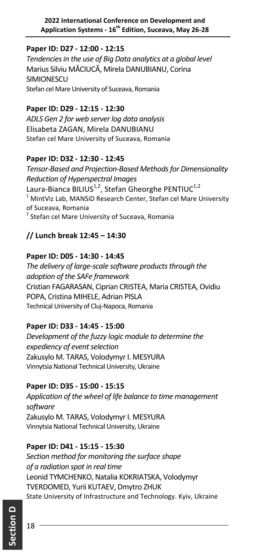#### **Paper ID: D27 ‐ 12:00 ‐ 12:15**

*Tendenciesin the use of Big Data analytics at a global level*  Marius Silviu MĂCIUCĂ, Mirela DANUBIANU, Corina **SIMIONESCU** Stefan cel Mare University of Suceava, Romania

#### **Paper ID: D29 ‐ 12:15 ‐ 12:30**

*ADLS Gen 2 for web serverlog data analysis* Elisabeta ZAGAN, Mirela DANUBIANU Stefan cel Mare University of Suceava, Romania

#### **Paper ID: D32 ‐ 12:30 ‐ 12:45**

*Tensor‐Based and Projection‐Based Methodsfor Dimensionality Reduction of Hyperspectral Images* Laura-Bianca BILIUS<sup>1,2</sup>, Stefan Gheorghe PENTIUC<sup>1,2</sup> <sup>1</sup> MintViz Lab, MANSiD Research Center, Stefan cel Mare University of Suceava, Romania <sup>2</sup> Stefan cel Mare University of Suceava, Romania

### **// Lunch break 12:45 – 14:30**

#### **Paper ID: D05 ‐ 14:30 ‐ 14:45**

*The delivery of large‐scale software productsthrough the adoption of the SAFe framework* Cristian FAGARASAN, Ciprian CRISTEA, Maria CRISTEA, Ovidiu POPA, Cristina MIHELE, Adrian PISLA Technical University of Cluj‐Napoca, Romania

#### **Paper ID: D33 ‐ 14:45 ‐ 15:00**

*Development of the fuzzy logic module to determine the*  $e$ *xpediency of event selection* Zakusylo M. TARAS, Volodymyr I. MESYURA Vinnytsia National Technical University, Ukraine

#### **Paper ID: D35 ‐ 15:00 ‐ 15:15**

*Application of the wheel of life balance to time management software* Zakusylo M. TARAS, Volodymyr I. MESYURA Vinnytsia National Technical University, Ukraine

#### **Paper ID: D41 ‐ 15:15 ‐ 15:30**

*Section method for monitoring the surface shape of a radiation spot in real time* Leonid TYMCHENKO, Natalia KOKRIATSKA, Volodymyr TVERDOMED, Yurii KUTAEV, Dmytro ZHUK State University of Infrastructure and Technology. Kyiv, Ukraine